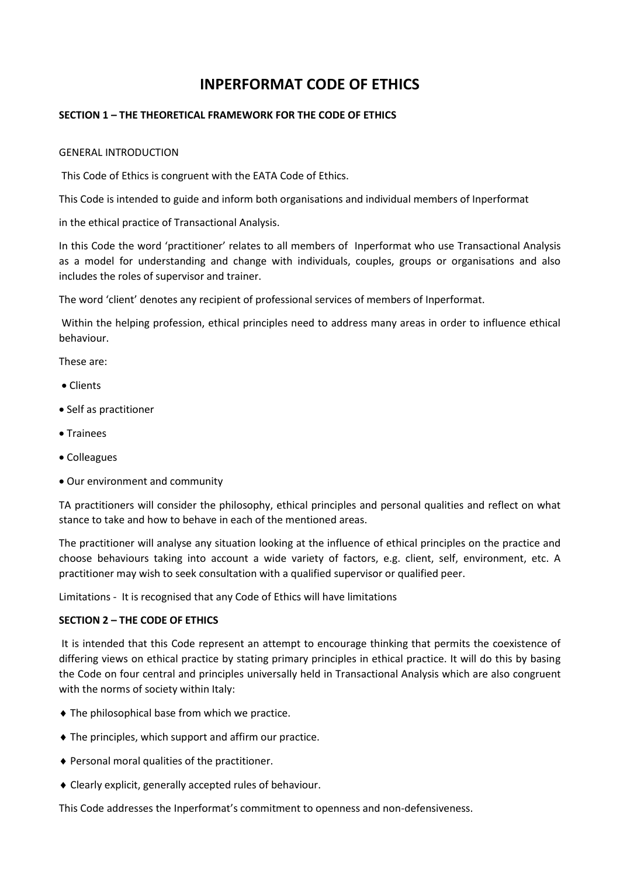# **INPERFORMAT CODE OF ETHICS**

# **SECTION 1 – THE THEORETICAL FRAMEWORK FOR THE CODE OF ETHICS**

## GENERAL INTRODUCTION

This Code of Ethics is congruent with the EATA Code of Ethics.

This Code is intended to guide and inform both organisations and individual members of Inperformat

in the ethical practice of Transactional Analysis.

In this Code the word 'practitioner' relates to all members of Inperformat who use Transactional Analysis as a model for understanding and change with individuals, couples, groups or organisations and also includes the roles of supervisor and trainer.

The word 'client' denotes any recipient of professional services of members of Inperformat.

Within the helping profession, ethical principles need to address many areas in order to influence ethical behaviour.

These are:

- Clients
- Self as practitioner
- Trainees
- Colleagues
- Our environment and community

TA practitioners will consider the philosophy, ethical principles and personal qualities and reflect on what stance to take and how to behave in each of the mentioned areas.

The practitioner will analyse any situation looking at the influence of ethical principles on the practice and choose behaviours taking into account a wide variety of factors, e.g. client, self, environment, etc. A practitioner may wish to seek consultation with a qualified supervisor or qualified peer.

Limitations - It is recognised that any Code of Ethics will have limitations

## **SECTION 2 – THE CODE OF ETHICS**

It is intended that this Code represent an attempt to encourage thinking that permits the coexistence of differing views on ethical practice by stating primary principles in ethical practice. It will do this by basing the Code on four central and principles universally held in Transactional Analysis which are also congruent with the norms of society within Italy:

- The philosophical base from which we practice.
- The principles, which support and affirm our practice.
- Personal moral qualities of the practitioner.
- Clearly explicit, generally accepted rules of behaviour.

This Code addresses the Inperformat's commitment to openness and non-defensiveness.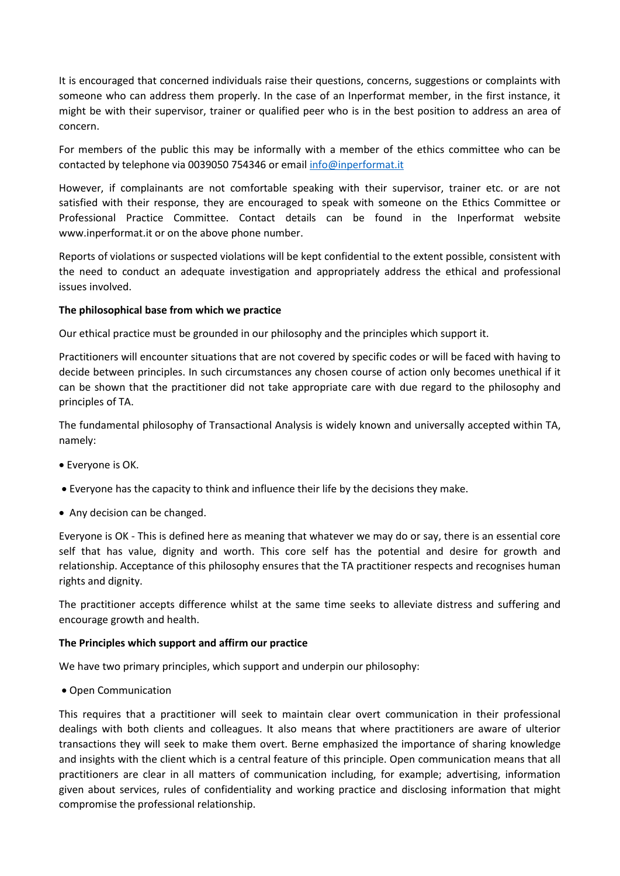It is encouraged that concerned individuals raise their questions, concerns, suggestions or complaints with someone who can address them properly. In the case of an Inperformat member, in the first instance, it might be with their supervisor, trainer or qualified peer who is in the best position to address an area of concern.

For members of the public this may be informally with a member of the ethics committee who can be contacted by telephone via 0039050 754346 or email [info@inperformat.it](mailto:info@inperformat.it)

However, if complainants are not comfortable speaking with their supervisor, trainer etc. or are not satisfied with their response, they are encouraged to speak with someone on the Ethics Committee or Professional Practice Committee. Contact details can be found in the Inperformat website www.inperformat.it or on the above phone number.

Reports of violations or suspected violations will be kept confidential to the extent possible, consistent with the need to conduct an adequate investigation and appropriately address the ethical and professional issues involved.

## **The philosophical base from which we practice**

Our ethical practice must be grounded in our philosophy and the principles which support it.

Practitioners will encounter situations that are not covered by specific codes or will be faced with having to decide between principles. In such circumstances any chosen course of action only becomes unethical if it can be shown that the practitioner did not take appropriate care with due regard to the philosophy and principles of TA.

The fundamental philosophy of Transactional Analysis is widely known and universally accepted within TA, namely:

- Everyone is OK.
- Everyone has the capacity to think and influence their life by the decisions they make.
- Any decision can be changed.

Everyone is OK - This is defined here as meaning that whatever we may do or say, there is an essential core self that has value, dignity and worth. This core self has the potential and desire for growth and relationship. Acceptance of this philosophy ensures that the TA practitioner respects and recognises human rights and dignity.

The practitioner accepts difference whilst at the same time seeks to alleviate distress and suffering and encourage growth and health.

## **The Principles which support and affirm our practice**

We have two primary principles, which support and underpin our philosophy:

• Open Communication

This requires that a practitioner will seek to maintain clear overt communication in their professional dealings with both clients and colleagues. It also means that where practitioners are aware of ulterior transactions they will seek to make them overt. Berne emphasized the importance of sharing knowledge and insights with the client which is a central feature of this principle. Open communication means that all practitioners are clear in all matters of communication including, for example; advertising, information given about services, rules of confidentiality and working practice and disclosing information that might compromise the professional relationship.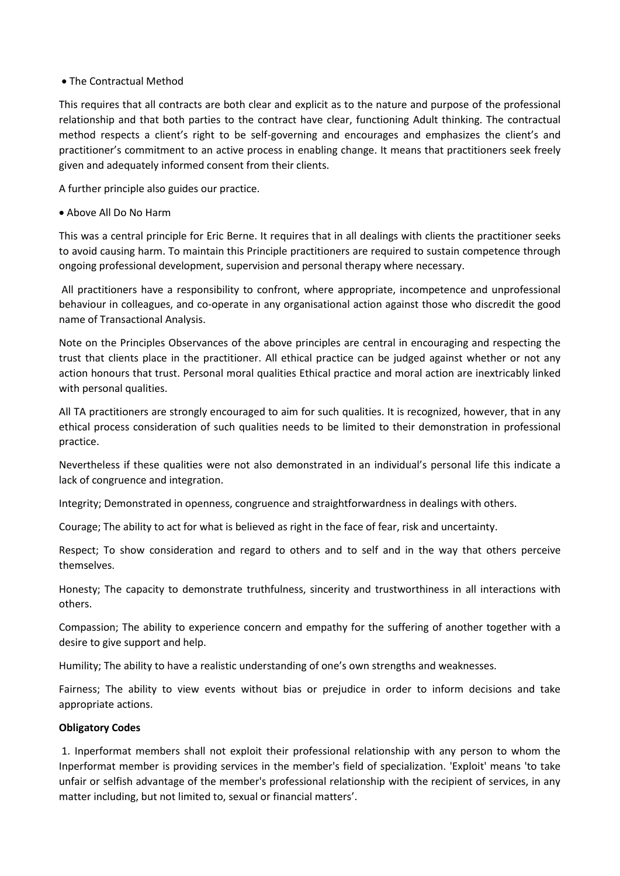## The Contractual Method

This requires that all contracts are both clear and explicit as to the nature and purpose of the professional relationship and that both parties to the contract have clear, functioning Adult thinking. The contractual method respects a client's right to be self-governing and encourages and emphasizes the client's and practitioner's commitment to an active process in enabling change. It means that practitioners seek freely given and adequately informed consent from their clients.

A further principle also guides our practice.

Above All Do No Harm

This was a central principle for Eric Berne. It requires that in all dealings with clients the practitioner seeks to avoid causing harm. To maintain this Principle practitioners are required to sustain competence through ongoing professional development, supervision and personal therapy where necessary.

All practitioners have a responsibility to confront, where appropriate, incompetence and unprofessional behaviour in colleagues, and co-operate in any organisational action against those who discredit the good name of Transactional Analysis.

Note on the Principles Observances of the above principles are central in encouraging and respecting the trust that clients place in the practitioner. All ethical practice can be judged against whether or not any action honours that trust. Personal moral qualities Ethical practice and moral action are inextricably linked with personal qualities.

All TA practitioners are strongly encouraged to aim for such qualities. It is recognized, however, that in any ethical process consideration of such qualities needs to be limited to their demonstration in professional practice.

Nevertheless if these qualities were not also demonstrated in an individual's personal life this indicate a lack of congruence and integration.

Integrity; Demonstrated in openness, congruence and straightforwardness in dealings with others.

Courage; The ability to act for what is believed as right in the face of fear, risk and uncertainty.

Respect; To show consideration and regard to others and to self and in the way that others perceive themselves.

Honesty; The capacity to demonstrate truthfulness, sincerity and trustworthiness in all interactions with others.

Compassion; The ability to experience concern and empathy for the suffering of another together with a desire to give support and help.

Humility; The ability to have a realistic understanding of one's own strengths and weaknesses.

Fairness; The ability to view events without bias or prejudice in order to inform decisions and take appropriate actions.

# **Obligatory Codes**

1. Inperformat members shall not exploit their professional relationship with any person to whom the Inperformat member is providing services in the member's field of specialization. 'Exploit' means 'to take unfair or selfish advantage of the member's professional relationship with the recipient of services, in any matter including, but not limited to, sexual or financial matters'.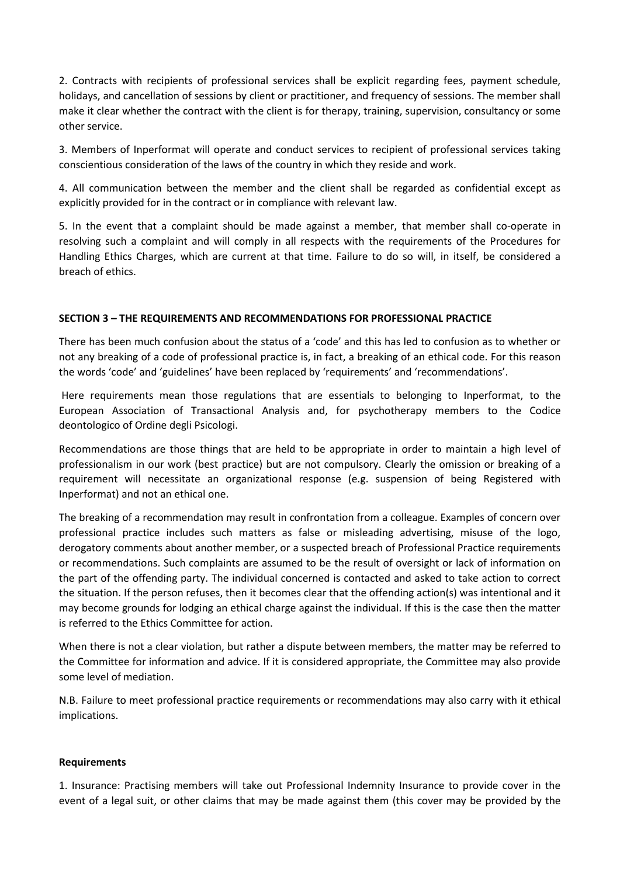2. Contracts with recipients of professional services shall be explicit regarding fees, payment schedule, holidays, and cancellation of sessions by client or practitioner, and frequency of sessions. The member shall make it clear whether the contract with the client is for therapy, training, supervision, consultancy or some other service.

3. Members of Inperformat will operate and conduct services to recipient of professional services taking conscientious consideration of the laws of the country in which they reside and work.

4. All communication between the member and the client shall be regarded as confidential except as explicitly provided for in the contract or in compliance with relevant law.

5. In the event that a complaint should be made against a member, that member shall co-operate in resolving such a complaint and will comply in all respects with the requirements of the Procedures for Handling Ethics Charges, which are current at that time. Failure to do so will, in itself, be considered a breach of ethics.

# **SECTION 3 – THE REQUIREMENTS AND RECOMMENDATIONS FOR PROFESSIONAL PRACTICE**

There has been much confusion about the status of a 'code' and this has led to confusion as to whether or not any breaking of a code of professional practice is, in fact, a breaking of an ethical code. For this reason the words 'code' and 'guidelines' have been replaced by 'requirements' and 'recommendations'.

Here requirements mean those regulations that are essentials to belonging to Inperformat, to the European Association of Transactional Analysis and, for psychotherapy members to the Codice deontologico of Ordine degli Psicologi.

Recommendations are those things that are held to be appropriate in order to maintain a high level of professionalism in our work (best practice) but are not compulsory. Clearly the omission or breaking of a requirement will necessitate an organizational response (e.g. suspension of being Registered with Inperformat) and not an ethical one.

The breaking of a recommendation may result in confrontation from a colleague. Examples of concern over professional practice includes such matters as false or misleading advertising, misuse of the logo, derogatory comments about another member, or a suspected breach of Professional Practice requirements or recommendations. Such complaints are assumed to be the result of oversight or lack of information on the part of the offending party. The individual concerned is contacted and asked to take action to correct the situation. If the person refuses, then it becomes clear that the offending action(s) was intentional and it may become grounds for lodging an ethical charge against the individual. If this is the case then the matter is referred to the Ethics Committee for action.

When there is not a clear violation, but rather a dispute between members, the matter may be referred to the Committee for information and advice. If it is considered appropriate, the Committee may also provide some level of mediation.

N.B. Failure to meet professional practice requirements or recommendations may also carry with it ethical implications.

## **Requirements**

1. Insurance: Practising members will take out Professional Indemnity Insurance to provide cover in the event of a legal suit, or other claims that may be made against them (this cover may be provided by the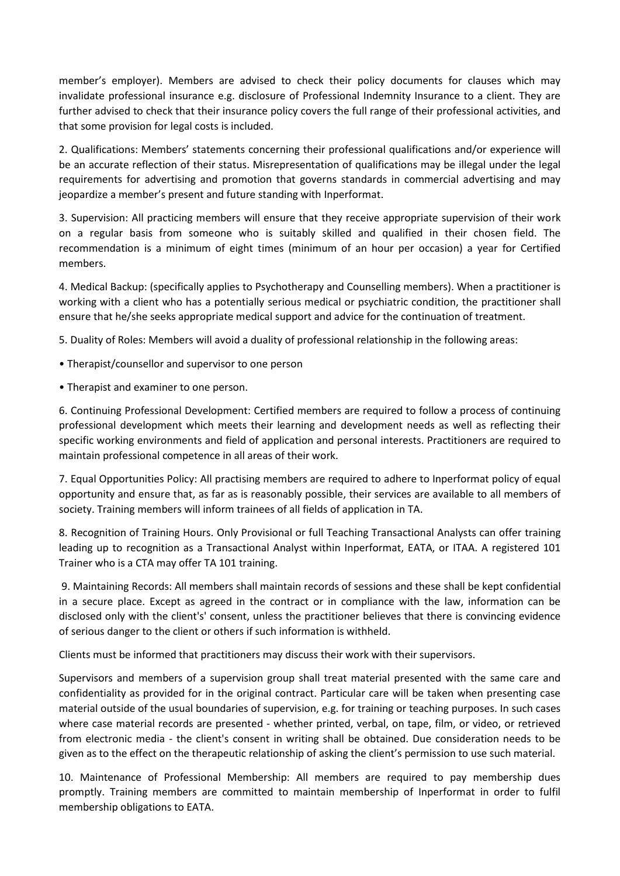member's employer). Members are advised to check their policy documents for clauses which may invalidate professional insurance e.g. disclosure of Professional Indemnity Insurance to a client. They are further advised to check that their insurance policy covers the full range of their professional activities, and that some provision for legal costs is included.

2. Qualifications: Members' statements concerning their professional qualifications and/or experience will be an accurate reflection of their status. Misrepresentation of qualifications may be illegal under the legal requirements for advertising and promotion that governs standards in commercial advertising and may jeopardize a member's present and future standing with Inperformat.

3. Supervision: All practicing members will ensure that they receive appropriate supervision of their work on a regular basis from someone who is suitably skilled and qualified in their chosen field. The recommendation is a minimum of eight times (minimum of an hour per occasion) a year for Certified members.

4. Medical Backup: (specifically applies to Psychotherapy and Counselling members). When a practitioner is working with a client who has a potentially serious medical or psychiatric condition, the practitioner shall ensure that he/she seeks appropriate medical support and advice for the continuation of treatment.

5. Duality of Roles: Members will avoid a duality of professional relationship in the following areas:

- Therapist/counsellor and supervisor to one person
- Therapist and examiner to one person.

6. Continuing Professional Development: Certified members are required to follow a process of continuing professional development which meets their learning and development needs as well as reflecting their specific working environments and field of application and personal interests. Practitioners are required to maintain professional competence in all areas of their work.

7. Equal Opportunities Policy: All practising members are required to adhere to Inperformat policy of equal opportunity and ensure that, as far as is reasonably possible, their services are available to all members of society. Training members will inform trainees of all fields of application in TA.

8. Recognition of Training Hours. Only Provisional or full Teaching Transactional Analysts can offer training leading up to recognition as a Transactional Analyst within Inperformat, EATA, or ITAA. A registered 101 Trainer who is a CTA may offer TA 101 training.

9. Maintaining Records: All members shall maintain records of sessions and these shall be kept confidential in a secure place. Except as agreed in the contract or in compliance with the law, information can be disclosed only with the client's' consent, unless the practitioner believes that there is convincing evidence of serious danger to the client or others if such information is withheld.

Clients must be informed that practitioners may discuss their work with their supervisors.

Supervisors and members of a supervision group shall treat material presented with the same care and confidentiality as provided for in the original contract. Particular care will be taken when presenting case material outside of the usual boundaries of supervision, e.g. for training or teaching purposes. In such cases where case material records are presented - whether printed, verbal, on tape, film, or video, or retrieved from electronic media - the client's consent in writing shall be obtained. Due consideration needs to be given as to the effect on the therapeutic relationship of asking the client's permission to use such material.

10. Maintenance of Professional Membership: All members are required to pay membership dues promptly. Training members are committed to maintain membership of Inperformat in order to fulfil membership obligations to EATA.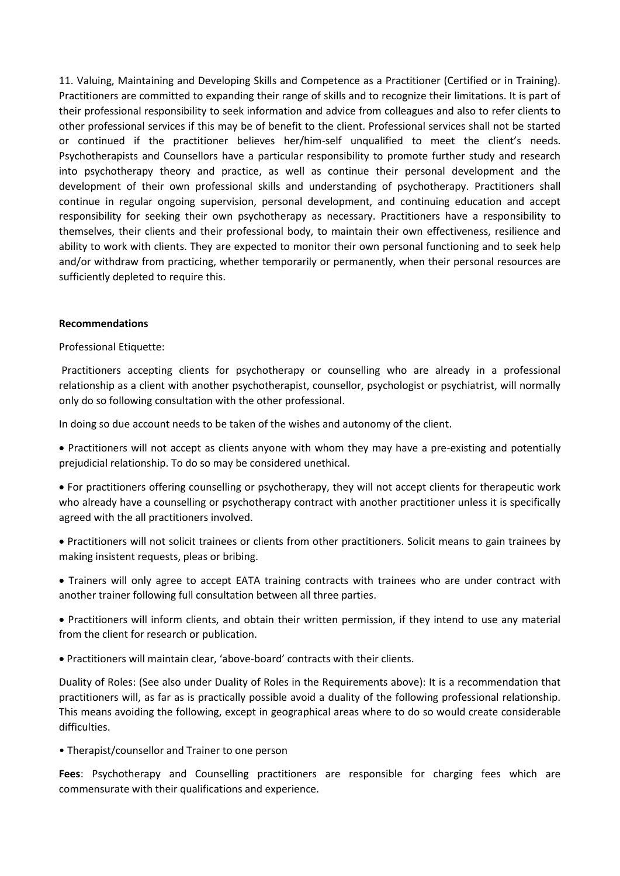11. Valuing, Maintaining and Developing Skills and Competence as a Practitioner (Certified or in Training). Practitioners are committed to expanding their range of skills and to recognize their limitations. It is part of their professional responsibility to seek information and advice from colleagues and also to refer clients to other professional services if this may be of benefit to the client. Professional services shall not be started or continued if the practitioner believes her/him-self unqualified to meet the client's needs. Psychotherapists and Counsellors have a particular responsibility to promote further study and research into psychotherapy theory and practice, as well as continue their personal development and the development of their own professional skills and understanding of psychotherapy. Practitioners shall continue in regular ongoing supervision, personal development, and continuing education and accept responsibility for seeking their own psychotherapy as necessary. Practitioners have a responsibility to themselves, their clients and their professional body, to maintain their own effectiveness, resilience and ability to work with clients. They are expected to monitor their own personal functioning and to seek help and/or withdraw from practicing, whether temporarily or permanently, when their personal resources are sufficiently depleted to require this.

#### **Recommendations**

#### Professional Etiquette:

Practitioners accepting clients for psychotherapy or counselling who are already in a professional relationship as a client with another psychotherapist, counsellor, psychologist or psychiatrist, will normally only do so following consultation with the other professional.

In doing so due account needs to be taken of the wishes and autonomy of the client.

 Practitioners will not accept as clients anyone with whom they may have a pre-existing and potentially prejudicial relationship. To do so may be considered unethical.

 For practitioners offering counselling or psychotherapy, they will not accept clients for therapeutic work who already have a counselling or psychotherapy contract with another practitioner unless it is specifically agreed with the all practitioners involved.

 Practitioners will not solicit trainees or clients from other practitioners. Solicit means to gain trainees by making insistent requests, pleas or bribing.

 Trainers will only agree to accept EATA training contracts with trainees who are under contract with another trainer following full consultation between all three parties.

 Practitioners will inform clients, and obtain their written permission, if they intend to use any material from the client for research or publication.

Practitioners will maintain clear, 'above-board' contracts with their clients.

Duality of Roles: (See also under Duality of Roles in the Requirements above): It is a recommendation that practitioners will, as far as is practically possible avoid a duality of the following professional relationship. This means avoiding the following, except in geographical areas where to do so would create considerable difficulties.

• Therapist/counsellor and Trainer to one person

**Fees**: Psychotherapy and Counselling practitioners are responsible for charging fees which are commensurate with their qualifications and experience.